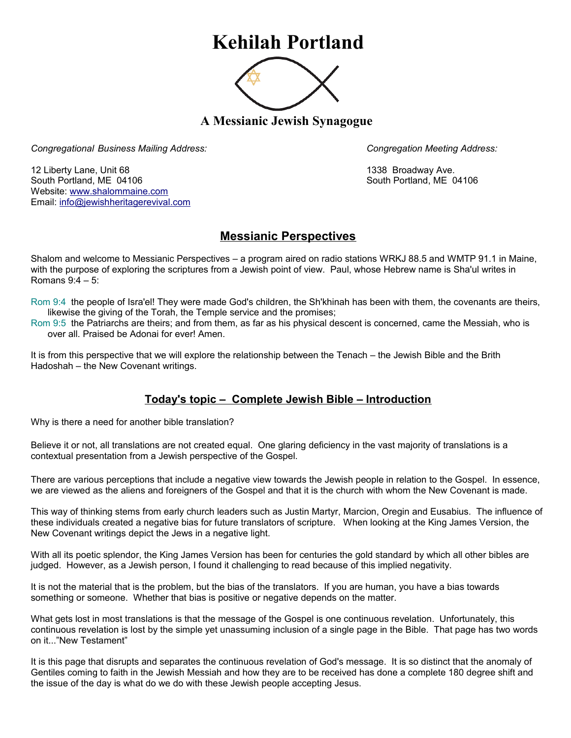## **Kehilah Portland**



**A Messianic Jewish Synagogue** 

*Congregational Business Mailing Address: Congregation Meeting Address:*

12 Liberty Lane, Unit 68 1338 Broadway Ave. South Portland, ME 04106 South Portland, ME 04106 Website: [www.shalommaine.com](http://www.shalommaine.com/) Email: [info@jewishheritagerevival.com](mailto:info@jewishheritagerevival.com) 

## **Messianic Perspectives**

Shalom and welcome to Messianic Perspectives – a program aired on radio stations WRKJ 88.5 and WMTP 91.1 in Maine, with the purpose of exploring the scriptures from a Jewish point of view. Paul, whose Hebrew name is Sha'ul writes in Romans 9:4 – 5:

Rom 9:4 the people of Isra'el! They were made God's children, the Sh'khinah has been with them, the covenants are theirs, likewise the giving of the Torah, the Temple service and the promises;

Rom 9:5 the Patriarchs are theirs; and from them, as far as his physical descent is concerned, came the Messiah, who is over all. Praised be Adonai for ever! Amen.

It is from this perspective that we will explore the relationship between the Tenach – the Jewish Bible and the Brith Hadoshah – the New Covenant writings.

## **Today's topic – Complete Jewish Bible – Introduction**

Why is there a need for another bible translation?

Believe it or not, all translations are not created equal. One glaring deficiency in the vast majority of translations is a contextual presentation from a Jewish perspective of the Gospel.

There are various perceptions that include a negative view towards the Jewish people in relation to the Gospel. In essence, we are viewed as the aliens and foreigners of the Gospel and that it is the church with whom the New Covenant is made.

This way of thinking stems from early church leaders such as Justin Martyr, Marcion, Oregin and Eusabius. The influence of these individuals created a negative bias for future translators of scripture. When looking at the King James Version, the New Covenant writings depict the Jews in a negative light.

With all its poetic splendor, the King James Version has been for centuries the gold standard by which all other bibles are judged. However, as a Jewish person, I found it challenging to read because of this implied negativity.

It is not the material that is the problem, but the bias of the translators. If you are human, you have a bias towards something or someone. Whether that bias is positive or negative depends on the matter.

What gets lost in most translations is that the message of the Gospel is one continuous revelation. Unfortunately, this continuous revelation is lost by the simple yet unassuming inclusion of a single page in the Bible. That page has two words on it..."New Testament"

It is this page that disrupts and separates the continuous revelation of God's message. It is so distinct that the anomaly of Gentiles coming to faith in the Jewish Messiah and how they are to be received has done a complete 180 degree shift and the issue of the day is what do we do with these Jewish people accepting Jesus.